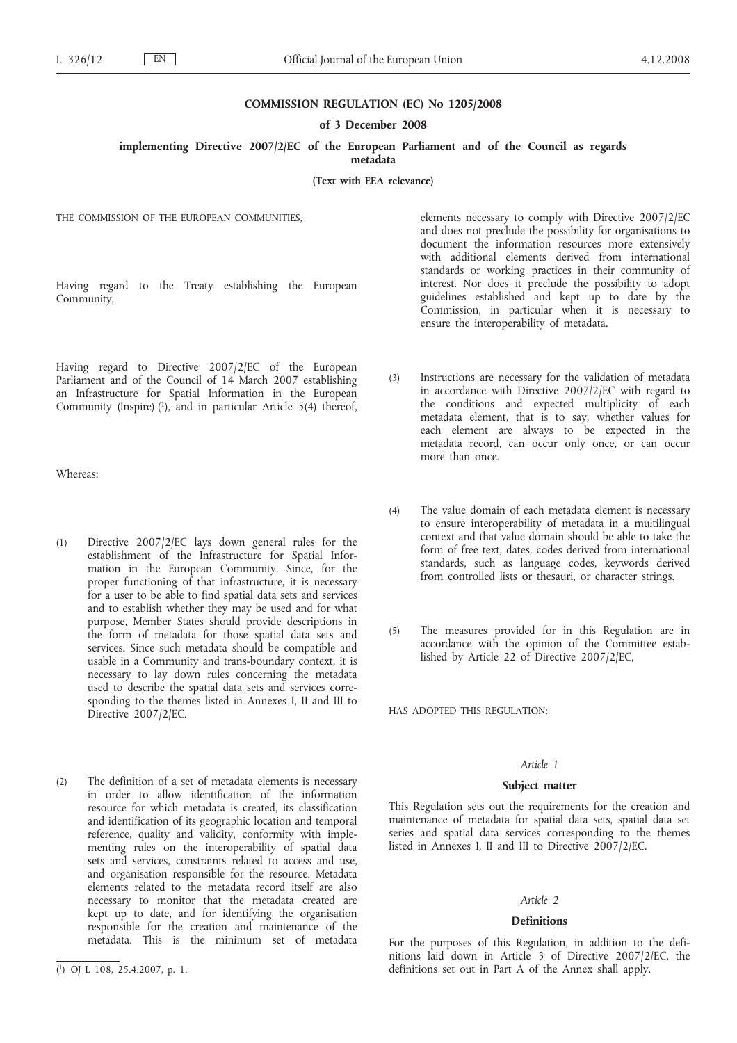### **COMMISSION REGULATION (EC) No 1205/2008**

**of 3 December 2008**

**implementing Directive 2007/2/EC of the European Parliament and of the Council as regards**

**metadata**

**(Text with EEA relevance)**

THE COMMISSION OF THE EUROPEAN COMMUNITIES,

Having regard to the Treaty establishing the European Community,

Having regard to Directive 2007/2/EC of the European Parliament and of the Council of 14 March 2007 establishing an Infrastructure for Spatial Information in the European Community (Inspire) (1), and in particular Article 5(4) thereof,

Whereas:

- (1) Directive 2007/2/EC lays down general rules for the establishment of the Infrastructure for Spatial Information in the European Community. Since, for the proper functioning of that infrastructure, it is necessary for a user to be able to find spatial data sets and services and to establish whether they may be used and for what purpose, Member States should provide descriptions in the form of metadata for those spatial data sets and services. Since such metadata should be compatible and usable in a Community and trans-boundary context, it is necessary to lay down rules concerning the metadata used to describe the spatial data sets and services corresponding to the themes listed in Annexes I, II and III to Directive 2007/2/EC.
- (2) The definition of a set of metadata elements is necessary in order to allow identification of the information resource for which metadata is created, its classification and identification of its geographic location and temporal reference, quality and validity, conformity with implementing rules on the interoperability of spatial data sets and services, constraints related to access and use, and organisation responsible for the resource. Metadata elements related to the metadata record itself are also necessary to monitor that the metadata created are kept up to date, and for identifying the organisation responsible for the creation and maintenance of the metadata. This is the minimum set of metadata

elements necessary to comply with Directive 2007/2/EC and does not preclude the possibility for organisations to document the information resources more extensively with additional elements derived from international standards or working practices in their community of interest. Nor does it preclude the possibility to adopt guidelines established and kept up to date by the Commission, in particular when it is necessary to ensure the interoperability of metadata.

- (3) Instructions are necessary for the validation of metadata in accordance with Directive 2007/2/EC with regard to the conditions and expected multiplicity of each metadata element, that is to say, whether values for each element are always to be expected in the metadata record, can occur only once, or can occur more than once.
- (4) The value domain of each metadata element is necessary to ensure interoperability of metadata in a multilingual context and that value domain should be able to take the form of free text, dates, codes derived from international standards, such as language codes, keywords derived from controlled lists or thesauri, or character strings.
- (5) The measures provided for in this Regulation are in accordance with the opinion of the Committee established by Article 22 of Directive 2007/2/EC,

HAS ADOPTED THIS REGULATION:

### *Article 1*

#### **Subject matter**

This Regulation sets out the requirements for the creation and maintenance of metadata for spatial data sets, spatial data set series and spatial data services corresponding to the themes listed in Annexes I, II and III to Directive 2007/2/EC.

#### *Article 2*

#### **Definitions**

For the purposes of this Regulation, in addition to the definitions laid down in Article 3 of Directive 2007/2/EC, the definitions set out in Part A of the Annex shall apply.

<sup>(</sup> 1) OJ L 108, 25.4.2007, p. 1.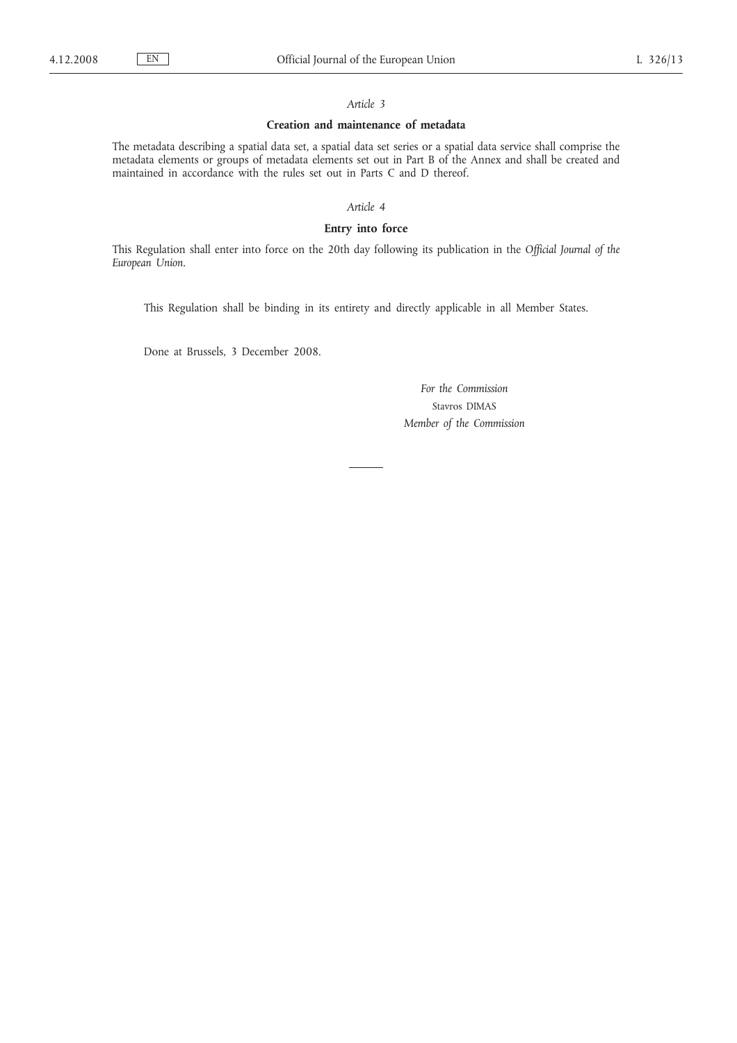# *Article 3*

### **Creation and maintenance of metadata**

The metadata describing a spatial data set, a spatial data set series or a spatial data service shall comprise the metadata elements or groups of metadata elements set out in Part B of the Annex and shall be created and maintained in accordance with the rules set out in Parts C and D thereof.

*Article 4*

# **Entry into force**

This Regulation shall enter into force on the 20th day following its publication in the *Official Journal of the European Union*.

This Regulation shall be binding in its entirety and directly applicable in all Member States.

Done at Brussels, 3 December 2008.

*For the Commission* Stavros DIMAS *Member of the Commission*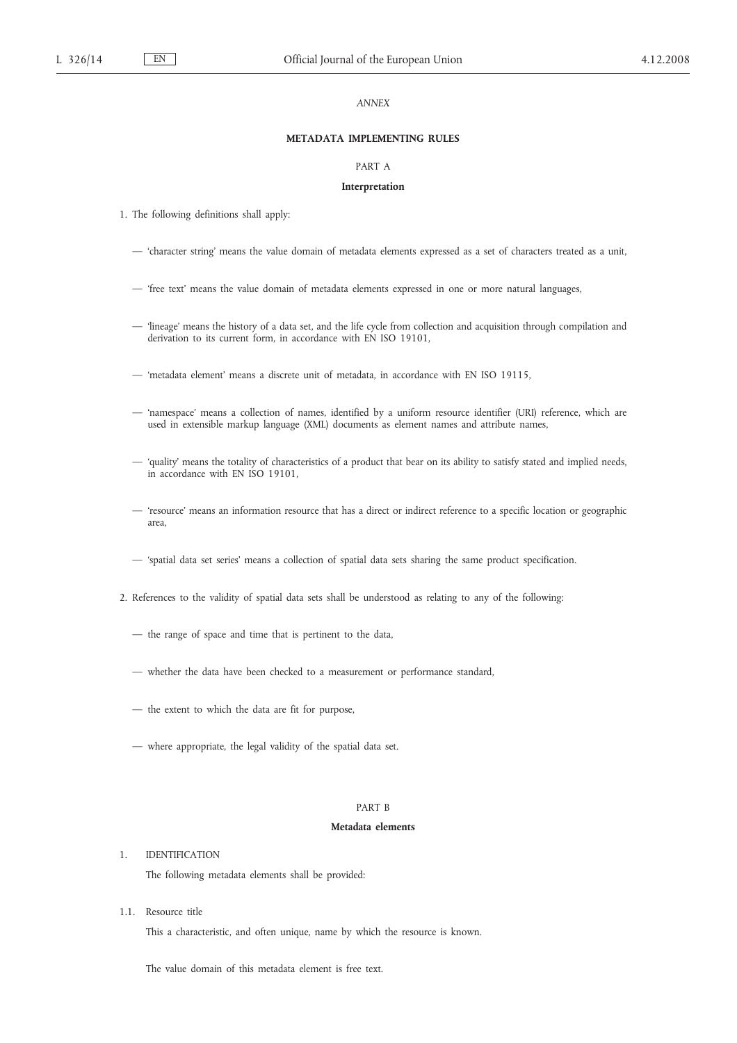# *ANNEX*

### **METADATA IMPLEMENTING RULES**

#### PART A

#### **Interpretation**

- 1. The following definitions shall apply:
	- 'character string' means the value domain of metadata elements expressed as a set of characters treated as a unit,
	- 'free text' means the value domain of metadata elements expressed in one or more natural languages,
	- 'lineage' means the history of a data set, and the life cycle from collection and acquisition through compilation and derivation to its current form, in accordance with EN ISO 19101,
	- 'metadata element' means a discrete unit of metadata, in accordance with EN ISO 19115,
	- 'namespace' means a collection of names, identified by a uniform resource identifier (URI) reference, which are used in extensible markup language (XML) documents as element names and attribute names,
	- 'quality' means the totality of characteristics of a product that bear on its ability to satisfy stated and implied needs, in accordance with EN ISO 19101,
	- 'resource' means an information resource that has a direct or indirect reference to a specific location or geographic area,
	- 'spatial data set series' means a collection of spatial data sets sharing the same product specification.
- 2. References to the validity of spatial data sets shall be understood as relating to any of the following:
	- the range of space and time that is pertinent to the data,
	- whether the data have been checked to a measurement or performance standard,
	- the extent to which the data are fit for purpose,
	- where appropriate, the legal validity of the spatial data set.

# PART B

### **Metadata elements**

1. IDENTIFICATION

The following metadata elements shall be provided:

1.1. Resource title

This a characteristic, and often unique, name by which the resource is known.

The value domain of this metadata element is free text.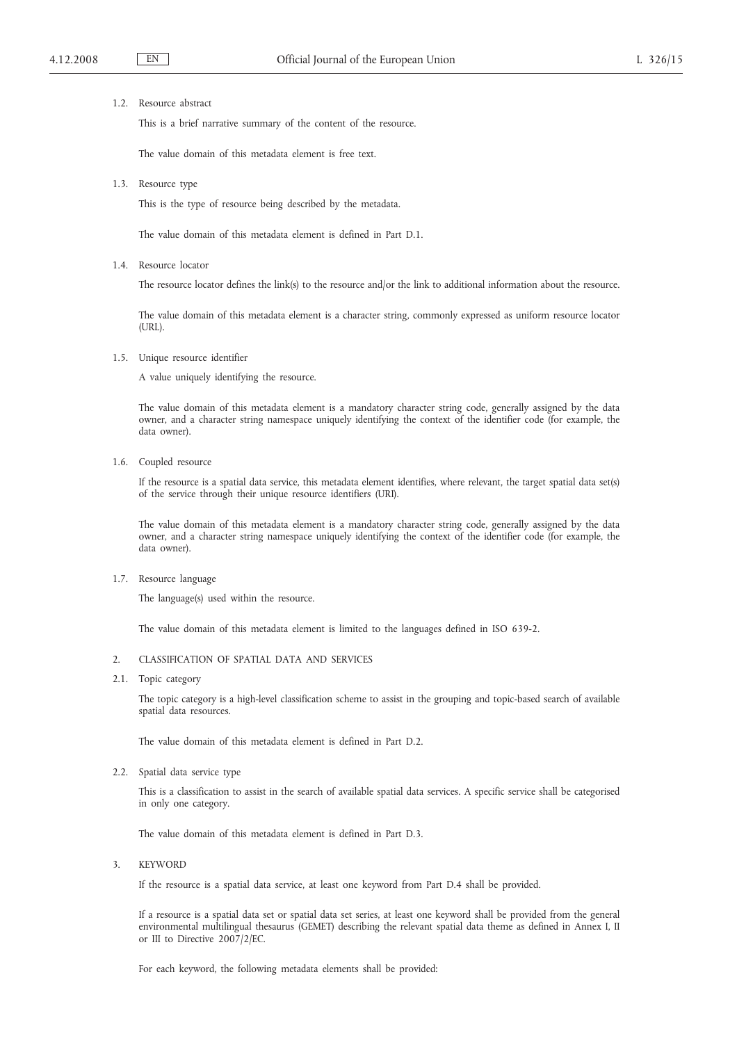# 1.2. Resource abstract

This is a brief narrative summary of the content of the resource.

The value domain of this metadata element is free text.

1.3. Resource type

This is the type of resource being described by the metadata.

The value domain of this metadata element is defined in Part D.1.

1.4. Resource locator

The resource locator defines the link(s) to the resource and/or the link to additional information about the resource.

The value domain of this metadata element is a character string, commonly expressed as uniform resource locator (URL).

1.5. Unique resource identifier

A value uniquely identifying the resource.

The value domain of this metadata element is a mandatory character string code, generally assigned by the data owner, and a character string namespace uniquely identifying the context of the identifier code (for example, the data owner).

1.6. Coupled resource

If the resource is a spatial data service, this metadata element identifies, where relevant, the target spatial data set(s) of the service through their unique resource identifiers (URI).

The value domain of this metadata element is a mandatory character string code, generally assigned by the data owner, and a character string namespace uniquely identifying the context of the identifier code (for example, the data owner).

1.7. Resource language

The language(s) used within the resource.

The value domain of this metadata element is limited to the languages defined in ISO 639-2.

- 2. CLASSIFICATION OF SPATIAL DATA AND SERVICES
- 2.1. Topic category

The topic category is a high-level classification scheme to assist in the grouping and topic-based search of available spatial data resources.

The value domain of this metadata element is defined in Part D.2.

2.2. Spatial data service type

This is a classification to assist in the search of available spatial data services. A specific service shall be categorised in only one category.

The value domain of this metadata element is defined in Part D.3.

3. KEYWORD

If the resource is a spatial data service, at least one keyword from Part D.4 shall be provided.

If a resource is a spatial data set or spatial data set series, at least one keyword shall be provided from the general environmental multilingual thesaurus (GEMET) describing the relevant spatial data theme as defined in Annex I, II or III to Directive 2007/2/EC.

For each keyword, the following metadata elements shall be provided: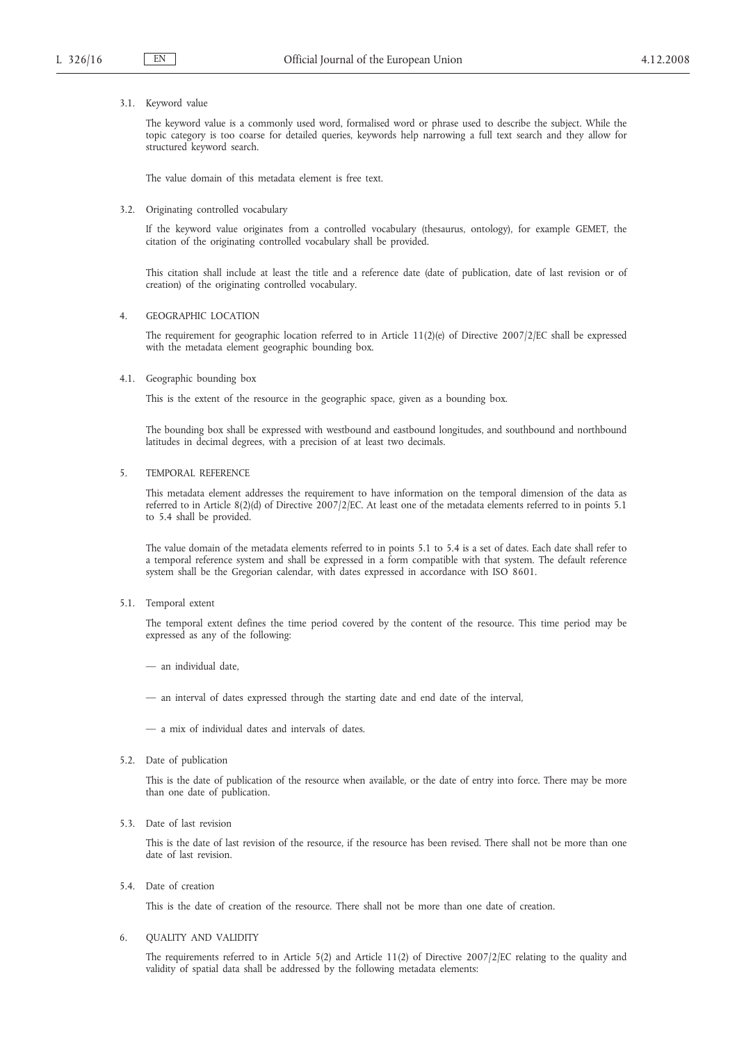### 3.1. Keyword value

The keyword value is a commonly used word, formalised word or phrase used to describe the subject. While the topic category is too coarse for detailed queries, keywords help narrowing a full text search and they allow for structured keyword search.

The value domain of this metadata element is free text.

### 3.2. Originating controlled vocabulary

If the keyword value originates from a controlled vocabulary (thesaurus, ontology), for example GEMET, the citation of the originating controlled vocabulary shall be provided.

This citation shall include at least the title and a reference date (date of publication, date of last revision or of creation) of the originating controlled vocabulary.

#### 4. GEOGRAPHIC LOCATION

The requirement for geographic location referred to in Article 11(2)(e) of Directive 2007/2/EC shall be expressed with the metadata element geographic bounding box.

### 4.1. Geographic bounding box

This is the extent of the resource in the geographic space, given as a bounding box.

The bounding box shall be expressed with westbound and eastbound longitudes, and southbound and northbound latitudes in decimal degrees, with a precision of at least two decimals.

### 5. TEMPORAL REFERENCE

This metadata element addresses the requirement to have information on the temporal dimension of the data as referred to in Article 8(2)(d) of Directive 2007/2/EC. At least one of the metadata elements referred to in points 5.1 to 5.4 shall be provided.

The value domain of the metadata elements referred to in points 5.1 to 5.4 is a set of dates. Each date shall refer to a temporal reference system and shall be expressed in a form compatible with that system. The default reference system shall be the Gregorian calendar, with dates expressed in accordance with ISO 8601.

5.1. Temporal extent

The temporal extent defines the time period covered by the content of the resource. This time period may be expressed as any of the following:

— an individual date,

— an interval of dates expressed through the starting date and end date of the interval,

— a mix of individual dates and intervals of dates.

5.2. Date of publication

This is the date of publication of the resource when available, or the date of entry into force. There may be more than one date of publication.

5.3. Date of last revision

This is the date of last revision of the resource, if the resource has been revised. There shall not be more than one date of last revision.

5.4. Date of creation

This is the date of creation of the resource. There shall not be more than one date of creation.

### 6. QUALITY AND VALIDITY

The requirements referred to in Article 5(2) and Article 11(2) of Directive 2007/2/EC relating to the quality and validity of spatial data shall be addressed by the following metadata elements: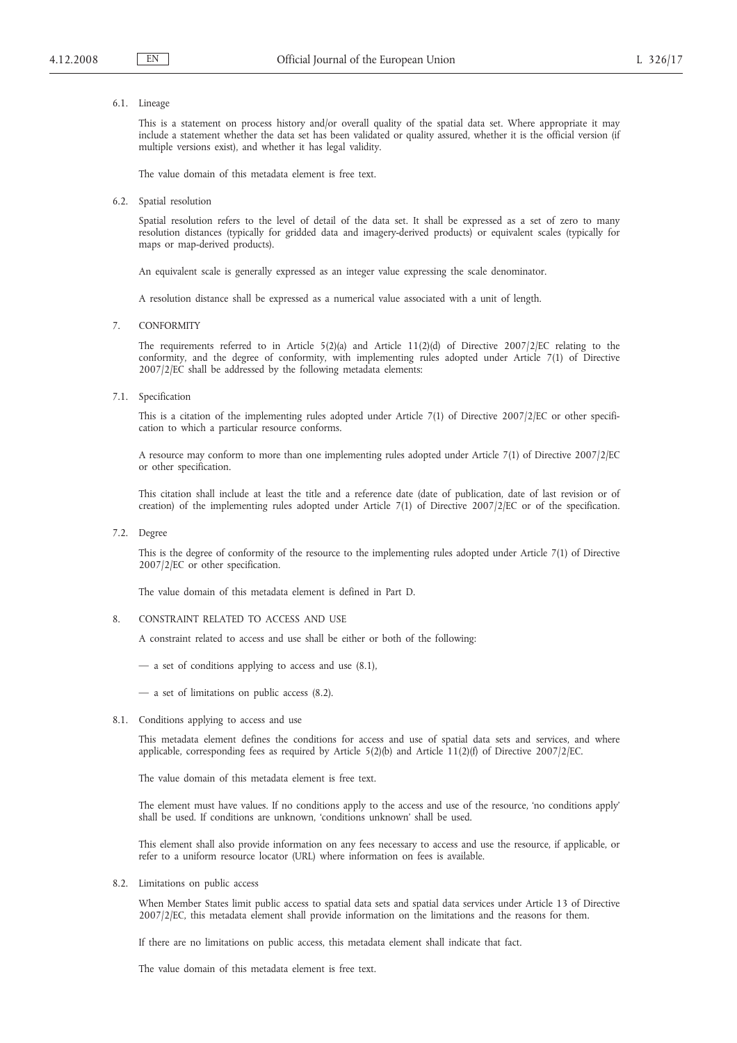### 6.1. Lineage

This is a statement on process history and/or overall quality of the spatial data set. Where appropriate it may include a statement whether the data set has been validated or quality assured, whether it is the official version (if multiple versions exist), and whether it has legal validity.

The value domain of this metadata element is free text.

6.2. Spatial resolution

Spatial resolution refers to the level of detail of the data set. It shall be expressed as a set of zero to many resolution distances (typically for gridded data and imagery-derived products) or equivalent scales (typically for maps or map-derived products).

An equivalent scale is generally expressed as an integer value expressing the scale denominator.

A resolution distance shall be expressed as a numerical value associated with a unit of length.

7. CONFORMITY

The requirements referred to in Article 5(2)(a) and Article 11(2)(d) of Directive 2007/2/EC relating to the conformity, and the degree of conformity, with implementing rules adopted under Article 7(1) of Directive 2007/2/EC shall be addressed by the following metadata elements:

7.1. Specification

This is a citation of the implementing rules adopted under Article 7(1) of Directive 2007/2/EC or other specification to which a particular resource conforms.

A resource may conform to more than one implementing rules adopted under Article 7(1) of Directive 2007/2/EC or other specification.

This citation shall include at least the title and a reference date (date of publication, date of last revision or of creation) of the implementing rules adopted under Article 7(1) of Directive 2007/2/EC or of the specification.

7.2. Degree

This is the degree of conformity of the resource to the implementing rules adopted under Article 7(1) of Directive 2007/2/EC or other specification.

The value domain of this metadata element is defined in Part D.

### 8. CONSTRAINT RELATED TO ACCESS AND USE

A constraint related to access and use shall be either or both of the following:

- a set of conditions applying to access and use (8.1),
- a set of limitations on public access (8.2).
- 8.1. Conditions applying to access and use

This metadata element defines the conditions for access and use of spatial data sets and services, and where applicable, corresponding fees as required by Article 5(2)(b) and Article 11(2)(f) of Directive 2007/2/EC.

The value domain of this metadata element is free text.

The element must have values. If no conditions apply to the access and use of the resource, 'no conditions apply' shall be used. If conditions are unknown, 'conditions unknown' shall be used.

This element shall also provide information on any fees necessary to access and use the resource, if applicable, or refer to a uniform resource locator (URL) where information on fees is available.

8.2. Limitations on public access

When Member States limit public access to spatial data sets and spatial data services under Article 13 of Directive 2007/2/EC, this metadata element shall provide information on the limitations and the reasons for them.

If there are no limitations on public access, this metadata element shall indicate that fact.

The value domain of this metadata element is free text.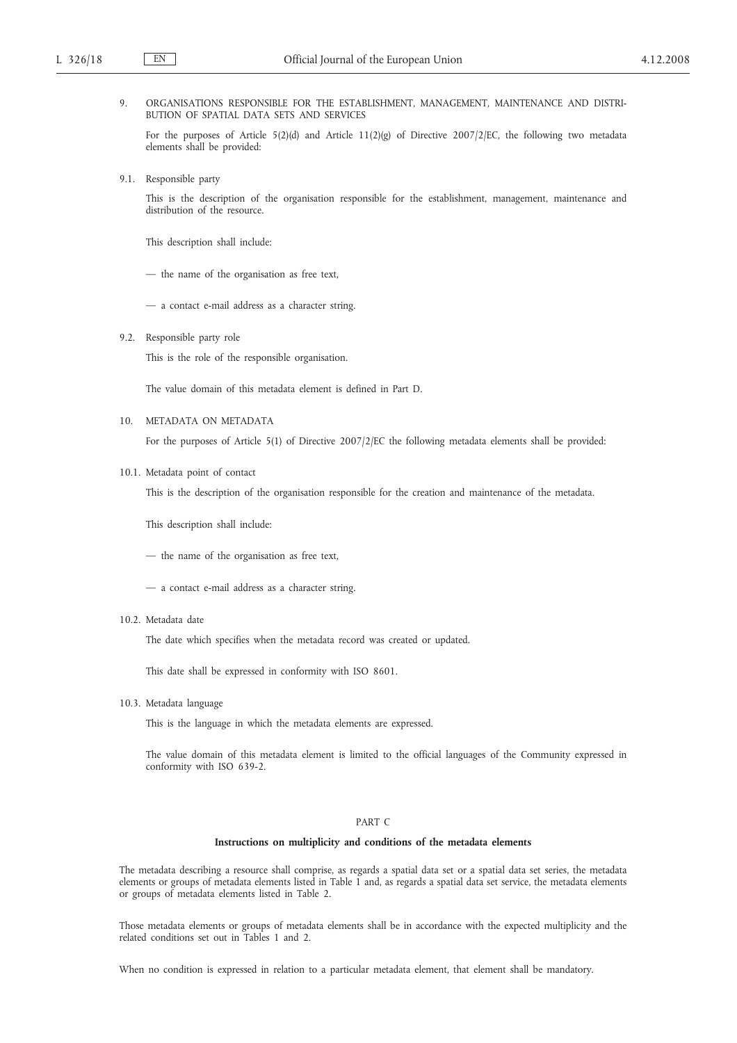# 9. ORGANISATIONS RESPONSIBLE FOR THE ESTABLISHMENT, MANAGEMENT, MAINTENANCE AND DISTRI-BUTION OF SPATIAL DATA SETS AND SERVICES

For the purposes of Article 5(2)(d) and Article 11(2)(g) of Directive 2007/2/EC, the following two metadata elements shall be provided:

9.1. Responsible party

This is the description of the organisation responsible for the establishment, management, maintenance and distribution of the resource.

This description shall include:

— the name of the organisation as free text,

— a contact e-mail address as a character string.

9.2. Responsible party role

This is the role of the responsible organisation.

The value domain of this metadata element is defined in Part D.

10. METADATA ON METADATA

For the purposes of Article 5(1) of Directive 2007/2/EC the following metadata elements shall be provided:

10.1. Metadata point of contact

This is the description of the organisation responsible for the creation and maintenance of the metadata.

This description shall include:

— the name of the organisation as free text,

— a contact e-mail address as a character string.

10.2. Metadata date

The date which specifies when the metadata record was created or updated.

This date shall be expressed in conformity with ISO 8601.

10.3. Metadata language

This is the language in which the metadata elements are expressed.

The value domain of this metadata element is limited to the official languages of the Community expressed in conformity with ISO 639-2.

# PART C

### **Instructions on multiplicity and conditions of the metadata elements**

The metadata describing a resource shall comprise, as regards a spatial data set or a spatial data set series, the metadata elements or groups of metadata elements listed in Table 1 and, as regards a spatial data set service, the metadata elements or groups of metadata elements listed in Table 2.

Those metadata elements or groups of metadata elements shall be in accordance with the expected multiplicity and the related conditions set out in Tables 1 and 2.

When no condition is expressed in relation to a particular metadata element, that element shall be mandatory.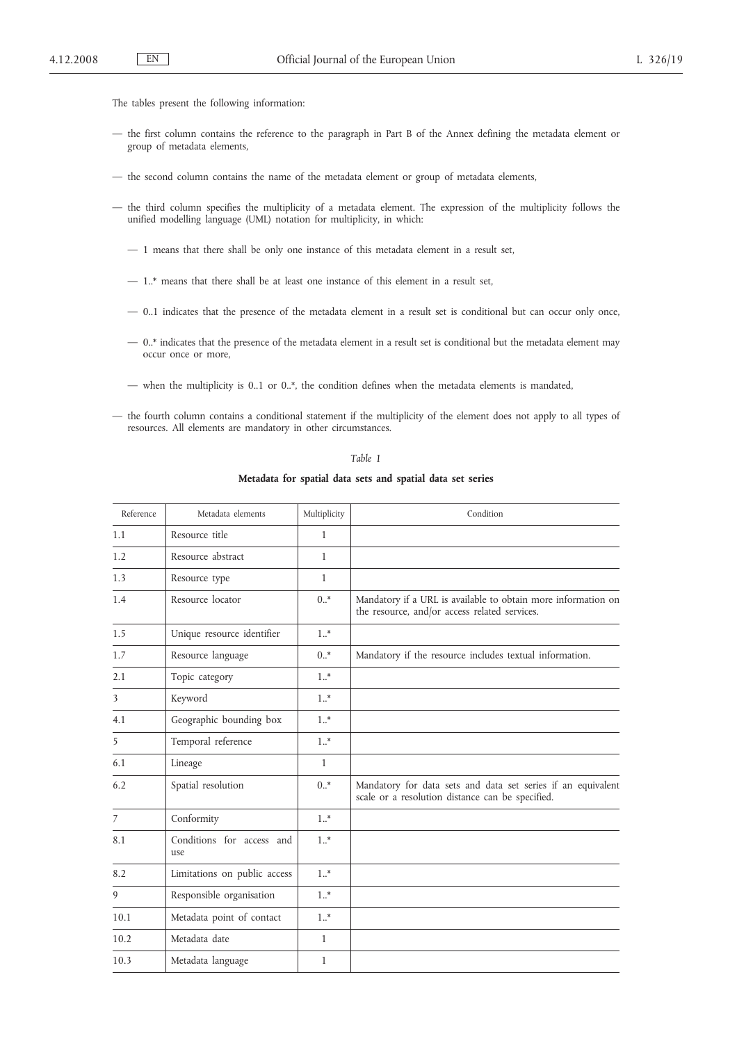The tables present the following information:

- the first column contains the reference to the paragraph in Part B of the Annex defining the metadata element or group of metadata elements,
- the second column contains the name of the metadata element or group of metadata elements,
- the third column specifies the multiplicity of a metadata element. The expression of the multiplicity follows the unified modelling language (UML) notation for multiplicity, in which:
	- 1 means that there shall be only one instance of this metadata element in a result set,
	- 1..\* means that there shall be at least one instance of this element in a result set,
	- 0..1 indicates that the presence of the metadata element in a result set is conditional but can occur only once,
	- 0..\* indicates that the presence of the metadata element in a result set is conditional but the metadata element may occur once or more,
	- when the multiplicity is 0..1 or 0..\*, the condition defines when the metadata elements is mandated,
- the fourth column contains a conditional statement if the multiplicity of the element does not apply to all types of resources. All elements are mandatory in other circumstances.

*Table 1*

**Metadata for spatial data sets and spatial data set series**

| Reference      | Metadata elements                | Multiplicity | Condition                                                                                                        |
|----------------|----------------------------------|--------------|------------------------------------------------------------------------------------------------------------------|
| 1.1            | Resource title                   | $\mathbf{1}$ |                                                                                                                  |
| 1.2            | Resource abstract                | $\mathbf{1}$ |                                                                                                                  |
| 1.3            | Resource type                    | $\mathbf{1}$ |                                                                                                                  |
| 1.4            | Resource locator                 | $0.$ *       | Mandatory if a URL is available to obtain more information on<br>the resource, and/or access related services.   |
| 1.5            | Unique resource identifier       | $1.$ *       |                                                                                                                  |
| 1.7            | Resource language                | $0.$ *       | Mandatory if the resource includes textual information.                                                          |
| 2.1            | Topic category                   | $1.$ *       |                                                                                                                  |
| 3              | Keyword                          | $1.$ *       |                                                                                                                  |
| 4.1            | Geographic bounding box          | $1.$ *       |                                                                                                                  |
| 5              | Temporal reference               | $1.$ *       |                                                                                                                  |
| 6.1            | Lineage                          | $\mathbf{1}$ |                                                                                                                  |
| 6.2            | Spatial resolution               | $0.$ *       | Mandatory for data sets and data set series if an equivalent<br>scale or a resolution distance can be specified. |
| $\overline{7}$ | Conformity                       | $1.$ *       |                                                                                                                  |
| 8.1            | Conditions for access and<br>use | $1.$ *       |                                                                                                                  |
| 8.2            | Limitations on public access     | $1.$ *       |                                                                                                                  |
| 9              | Responsible organisation         | $1.$ *       |                                                                                                                  |
| 10.1           | Metadata point of contact        | $1.$ *       |                                                                                                                  |
| 10.2           | Metadata date                    | $\mathbf{1}$ |                                                                                                                  |
| 10.3           | Metadata language                | $\mathbf{1}$ |                                                                                                                  |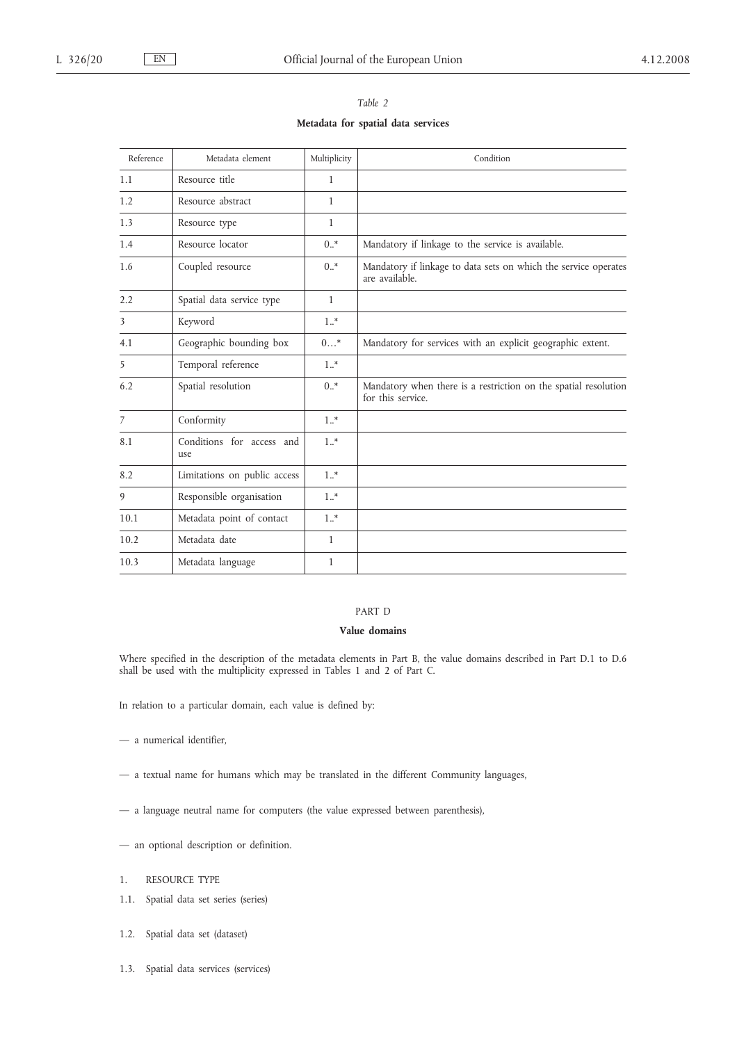| Reference | Metadata element                 | Multiplicity | Condition                                                                            |
|-----------|----------------------------------|--------------|--------------------------------------------------------------------------------------|
| 1.1       | Resource title                   | $\mathbf{1}$ |                                                                                      |
| 1.2       | Resource abstract                | $\mathbf{1}$ |                                                                                      |
| 1.3       | Resource type                    | $\mathbf{1}$ |                                                                                      |
| 1.4       | Resource locator                 | $0.$ *       | Mandatory if linkage to the service is available.                                    |
| 1.6       | Coupled resource                 | $0.$ *       | Mandatory if linkage to data sets on which the service operates<br>are available.    |
| 2.2       | Spatial data service type        | $\mathbf{1}$ |                                                                                      |
| 3         | Keyword                          | $1.$ *       |                                                                                      |
| 4.1       | Geographic bounding box          | $0$ *        | Mandatory for services with an explicit geographic extent.                           |
| 5         | Temporal reference               | $1.$ *       |                                                                                      |
| 6.2       | Spatial resolution               | $0.$ *       | Mandatory when there is a restriction on the spatial resolution<br>for this service. |
| 7         | Conformity                       | $1.$ *       |                                                                                      |
| 8.1       | Conditions for access and<br>use | $1.$ *       |                                                                                      |
| 8.2       | Limitations on public access     | $1.$ *       |                                                                                      |
| 9         | Responsible organisation         | $1.$ *       |                                                                                      |
| 10.1      | Metadata point of contact        | $1.$ *       |                                                                                      |
| 10.2      | Metadata date                    | $\mathbf{1}$ |                                                                                      |
| 10.3      | Metadata language                | 1            |                                                                                      |

*Table 2* **Metadata for spatial data services**

# PART D

# **Value domains**

Where specified in the description of the metadata elements in Part B, the value domains described in Part D.1 to D.6 shall be used with the multiplicity expressed in Tables 1 and 2 of Part C.

In relation to a particular domain, each value is defined by:

- a numerical identifier,
- a textual name for humans which may be translated in the different Community languages,
- a language neutral name for computers (the value expressed between parenthesis),
- an optional description or definition.
- 1. RESOURCE TYPE
- 1.1. Spatial data set series (series)
- 1.2. Spatial data set (dataset)
- 1.3. Spatial data services (services)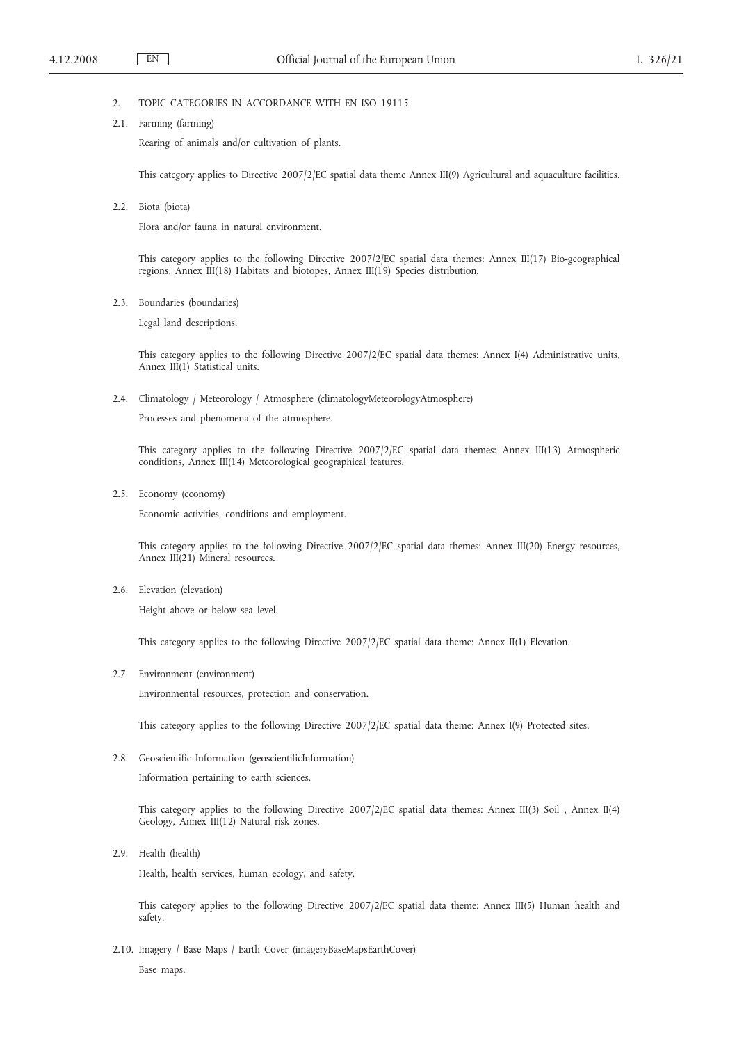# 2. TOPIC CATEGORIES IN ACCORDANCE WITH EN ISO 19115

2.1. Farming (farming)

Rearing of animals and/or cultivation of plants.

This category applies to Directive 2007/2/EC spatial data theme Annex III(9) Agricultural and aquaculture facilities.

2.2. Biota (biota)

Flora and/or fauna in natural environment.

This category applies to the following Directive 2007/2/EC spatial data themes: Annex III(17) Bio-geographical regions, Annex III(18) Habitats and biotopes, Annex III(19) Species distribution.

2.3. Boundaries (boundaries)

Legal land descriptions.

This category applies to the following Directive 2007/2/EC spatial data themes: Annex I(4) Administrative units, Annex III(1) Statistical units.

2.4. Climatology / Meteorology / Atmosphere (climatologyMeteorologyAtmosphere)

Processes and phenomena of the atmosphere.

This category applies to the following Directive 2007/2/EC spatial data themes: Annex III(13) Atmospheric conditions, Annex III(14) Meteorological geographical features.

2.5. Economy (economy)

Economic activities, conditions and employment.

This category applies to the following Directive 2007/2/EC spatial data themes: Annex III(20) Energy resources, Annex III(21) Mineral resources.

2.6. Elevation (elevation)

Height above or below sea level.

This category applies to the following Directive 2007/2/EC spatial data theme: Annex II(1) Elevation.

2.7. Environment (environment)

Environmental resources, protection and conservation.

This category applies to the following Directive 2007/2/EC spatial data theme: Annex I(9) Protected sites.

2.8. Geoscientific Information (geoscientificInformation)

Information pertaining to earth sciences.

This category applies to the following Directive 2007/2/EC spatial data themes: Annex III(3) Soil , Annex II(4) Geology, Annex III(12) Natural risk zones.

2.9. Health (health)

Health, health services, human ecology, and safety.

This category applies to the following Directive 2007/2/EC spatial data theme: Annex III(5) Human health and safety.

2.10. Imagery / Base Maps / Earth Cover (imageryBaseMapsEarthCover) Base maps.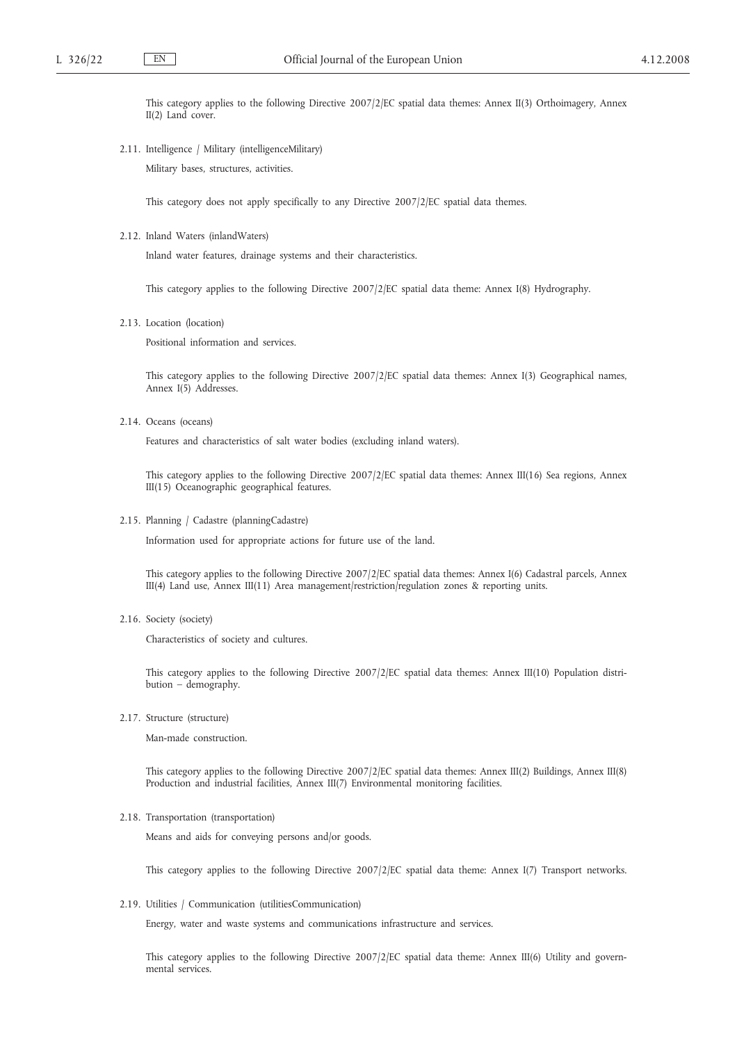This category applies to the following Directive 2007/2/EC spatial data themes: Annex II(3) Orthoimagery, Annex II(2) Land cover.

2.11. Intelligence / Military (intelligenceMilitary)

Military bases, structures, activities.

This category does not apply specifically to any Directive 2007/2/EC spatial data themes.

2.12. Inland Waters (inlandWaters)

Inland water features, drainage systems and their characteristics.

This category applies to the following Directive 2007/2/EC spatial data theme: Annex I(8) Hydrography.

2.13. Location (location)

Positional information and services.

This category applies to the following Directive 2007/2/EC spatial data themes: Annex I(3) Geographical names, Annex I(5) Addresses.

2.14. Oceans (oceans)

Features and characteristics of salt water bodies (excluding inland waters).

This category applies to the following Directive 2007/2/EC spatial data themes: Annex III(16) Sea regions, Annex III(15) Oceanographic geographical features.

2.15. Planning / Cadastre (planningCadastre)

Information used for appropriate actions for future use of the land.

This category applies to the following Directive 2007/2/EC spatial data themes: Annex I(6) Cadastral parcels, Annex III(4) Land use, Annex III(11) Area management/restriction/regulation zones & reporting units.

2.16. Society (society)

Characteristics of society and cultures.

This category applies to the following Directive 2007/2/EC spatial data themes: Annex III(10) Population distribution – demography.

2.17. Structure (structure)

Man-made construction.

This category applies to the following Directive 2007/2/EC spatial data themes: Annex III(2) Buildings, Annex III(8) Production and industrial facilities, Annex III(7) Environmental monitoring facilities.

2.18. Transportation (transportation)

Means and aids for conveying persons and/or goods.

This category applies to the following Directive 2007/2/EC spatial data theme: Annex I(7) Transport networks.

2.19. Utilities / Communication (utilitiesCommunication)

Energy, water and waste systems and communications infrastructure and services.

This category applies to the following Directive 2007/2/EC spatial data theme: Annex III(6) Utility and governmental services.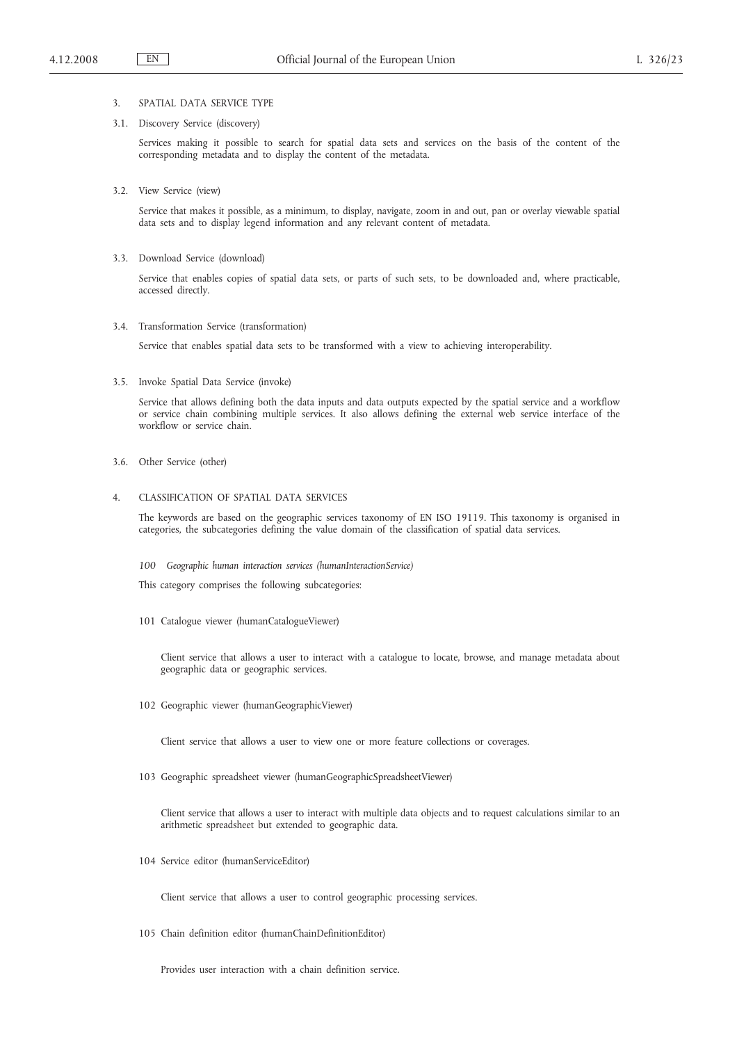# 3. SPATIAL DATA SERVICE TYPE

### 3.1. Discovery Service (discovery)

Services making it possible to search for spatial data sets and services on the basis of the content of the corresponding metadata and to display the content of the metadata.

3.2. View Service (view)

Service that makes it possible, as a minimum, to display, navigate, zoom in and out, pan or overlay viewable spatial data sets and to display legend information and any relevant content of metadata.

3.3. Download Service (download)

Service that enables copies of spatial data sets, or parts of such sets, to be downloaded and, where practicable, accessed directly.

3.4. Transformation Service (transformation)

Service that enables spatial data sets to be transformed with a view to achieving interoperability.

3.5. Invoke Spatial Data Service (invoke)

Service that allows defining both the data inputs and data outputs expected by the spatial service and a workflow or service chain combining multiple services. It also allows defining the external web service interface of the workflow or service chain.

3.6. Other Service (other)

### 4. CLASSIFICATION OF SPATIAL DATA SERVICES

The keywords are based on the geographic services taxonomy of EN ISO 19119. This taxonomy is organised in categories, the subcategories defining the value domain of the classification of spatial data services.

*100 Geographic human interaction services (humanInteractionService)*

This category comprises the following subcategories:

101 Catalogue viewer (humanCatalogueViewer)

Client service that allows a user to interact with a catalogue to locate, browse, and manage metadata about geographic data or geographic services.

102 Geographic viewer (humanGeographicViewer)

Client service that allows a user to view one or more feature collections or coverages.

103 Geographic spreadsheet viewer (humanGeographicSpreadsheetViewer)

Client service that allows a user to interact with multiple data objects and to request calculations similar to an arithmetic spreadsheet but extended to geographic data.

104 Service editor (humanServiceEditor)

Client service that allows a user to control geographic processing services.

105 Chain definition editor (humanChainDefinitionEditor)

Provides user interaction with a chain definition service.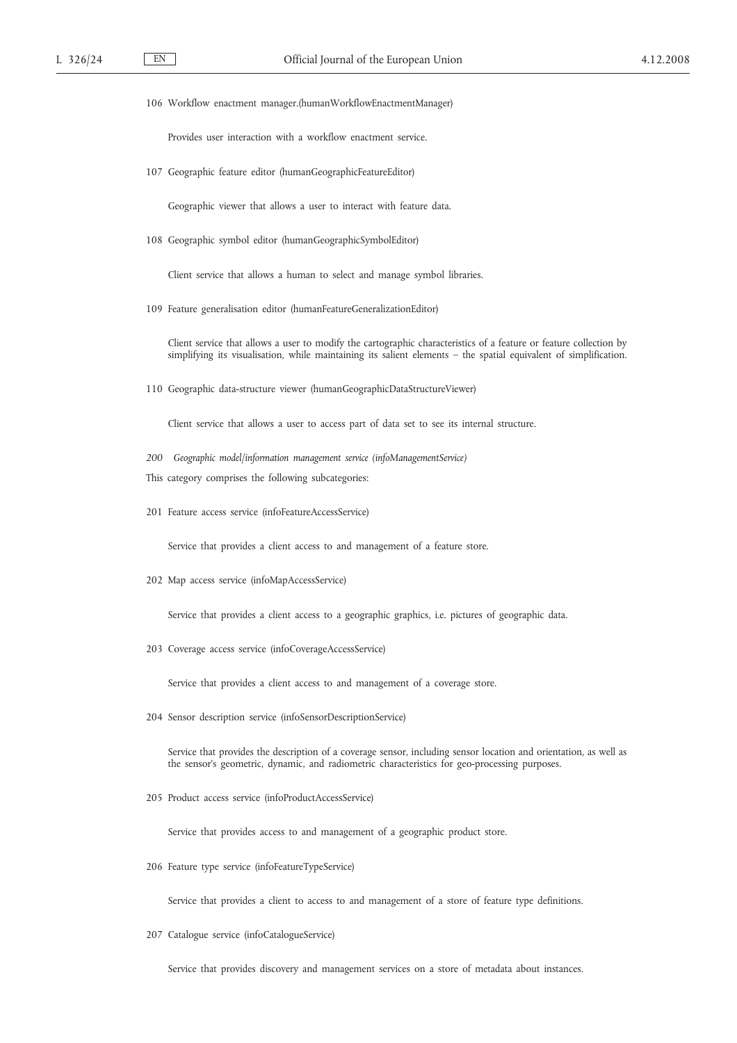106 Workflow enactment manager.(humanWorkflowEnactmentManager)

Provides user interaction with a workflow enactment service.

107 Geographic feature editor (humanGeographicFeatureEditor)

Geographic viewer that allows a user to interact with feature data.

108 Geographic symbol editor (humanGeographicSymbolEditor)

Client service that allows a human to select and manage symbol libraries.

109 Feature generalisation editor (humanFeatureGeneralizationEditor)

Client service that allows a user to modify the cartographic characteristics of a feature or feature collection by simplifying its visualisation, while maintaining its salient elements - the spatial equivalent of simplification.

110 Geographic data-structure viewer (humanGeographicDataStructureViewer)

Client service that allows a user to access part of data set to see its internal structure.

- *200 Geographic model/information management service (infoManagementService)*
- This category comprises the following subcategories:
- 201 Feature access service (infoFeatureAccessService)

Service that provides a client access to and management of a feature store.

202 Map access service (infoMapAccessService)

Service that provides a client access to a geographic graphics, i.e. pictures of geographic data.

203 Coverage access service (infoCoverageAccessService)

Service that provides a client access to and management of a coverage store.

204 Sensor description service (infoSensorDescriptionService)

Service that provides the description of a coverage sensor, including sensor location and orientation, as well as the sensor's geometric, dynamic, and radiometric characteristics for geo-processing purposes.

205 Product access service (infoProductAccessService)

Service that provides access to and management of a geographic product store.

206 Feature type service (infoFeatureTypeService)

Service that provides a client to access to and management of a store of feature type definitions.

207 Catalogue service (infoCatalogueService)

Service that provides discovery and management services on a store of metadata about instances.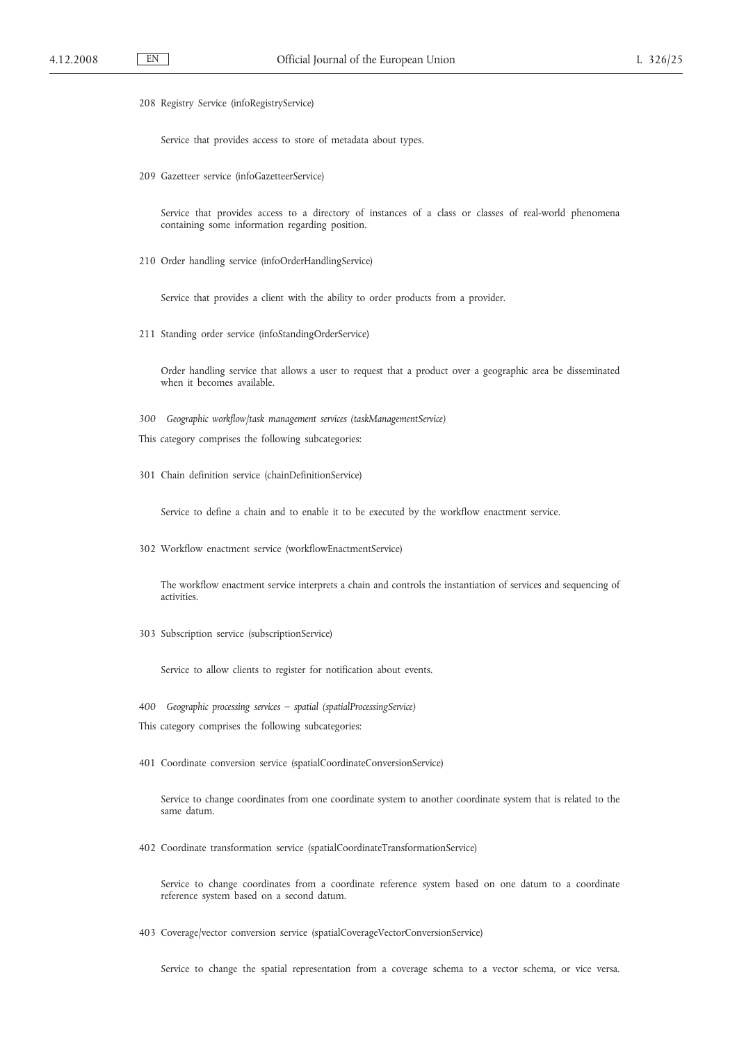208 Registry Service (infoRegistryService)

Service that provides access to store of metadata about types.

209 Gazetteer service (infoGazetteerService)

Service that provides access to a directory of instances of a class or classes of real-world phenomena containing some information regarding position.

210 Order handling service (infoOrderHandlingService)

Service that provides a client with the ability to order products from a provider.

211 Standing order service (infoStandingOrderService)

Order handling service that allows a user to request that a product over a geographic area be disseminated when it becomes available.

- *300 Geographic workflow/task management services (taskManagementService)*
- This category comprises the following subcategories:
- 301 Chain definition service (chainDefinitionService)

Service to define a chain and to enable it to be executed by the workflow enactment service.

302 Workflow enactment service (workflowEnactmentService)

The workflow enactment service interprets a chain and controls the instantiation of services and sequencing of activities.

303 Subscription service (subscriptionService)

Service to allow clients to register for notification about events.

- *400 Geographic processing services – spatial (spatialProcessingService)*
- This category comprises the following subcategories:
- 401 Coordinate conversion service (spatialCoordinateConversionService)

Service to change coordinates from one coordinate system to another coordinate system that is related to the same datum.

402 Coordinate transformation service (spatialCoordinateTransformationService)

Service to change coordinates from a coordinate reference system based on one datum to a coordinate reference system based on a second datum.

403 Coverage/vector conversion service (spatialCoverageVectorConversionService)

Service to change the spatial representation from a coverage schema to a vector schema, or vice versa.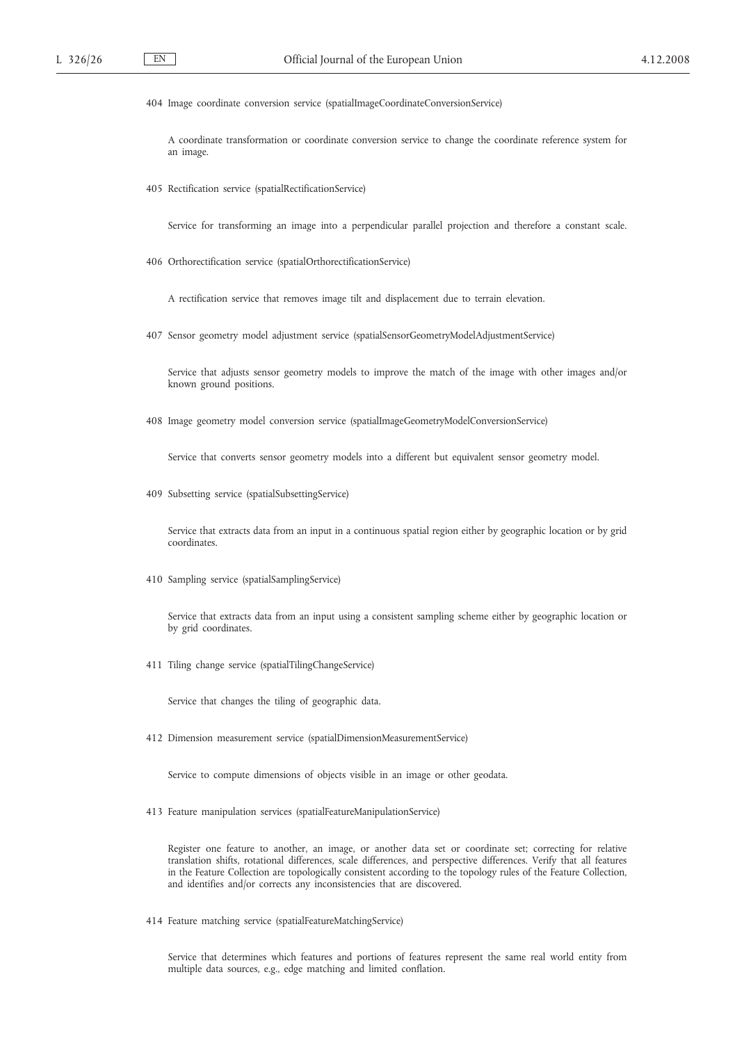404 Image coordinate conversion service (spatialImageCoordinateConversionService)

A coordinate transformation or coordinate conversion service to change the coordinate reference system for an image.

405 Rectification service (spatialRectificationService)

Service for transforming an image into a perpendicular parallel projection and therefore a constant scale.

406 Orthorectification service (spatialOrthorectificationService)

A rectification service that removes image tilt and displacement due to terrain elevation.

407 Sensor geometry model adjustment service (spatialSensorGeometryModelAdjustmentService)

Service that adjusts sensor geometry models to improve the match of the image with other images and/or known ground positions.

408 Image geometry model conversion service (spatialImageGeometryModelConversionService)

Service that converts sensor geometry models into a different but equivalent sensor geometry model.

409 Subsetting service (spatialSubsettingService)

Service that extracts data from an input in a continuous spatial region either by geographic location or by grid coordinates.

410 Sampling service (spatialSamplingService)

Service that extracts data from an input using a consistent sampling scheme either by geographic location or by grid coordinates.

411 Tiling change service (spatialTilingChangeService)

Service that changes the tiling of geographic data.

412 Dimension measurement service (spatialDimensionMeasurementService)

Service to compute dimensions of objects visible in an image or other geodata.

413 Feature manipulation services (spatialFeatureManipulationService)

Register one feature to another, an image, or another data set or coordinate set; correcting for relative translation shifts, rotational differences, scale differences, and perspective differences. Verify that all features in the Feature Collection are topologically consistent according to the topology rules of the Feature Collection, and identifies and/or corrects any inconsistencies that are discovered.

414 Feature matching service (spatialFeatureMatchingService)

Service that determines which features and portions of features represent the same real world entity from multiple data sources, e.g., edge matching and limited conflation.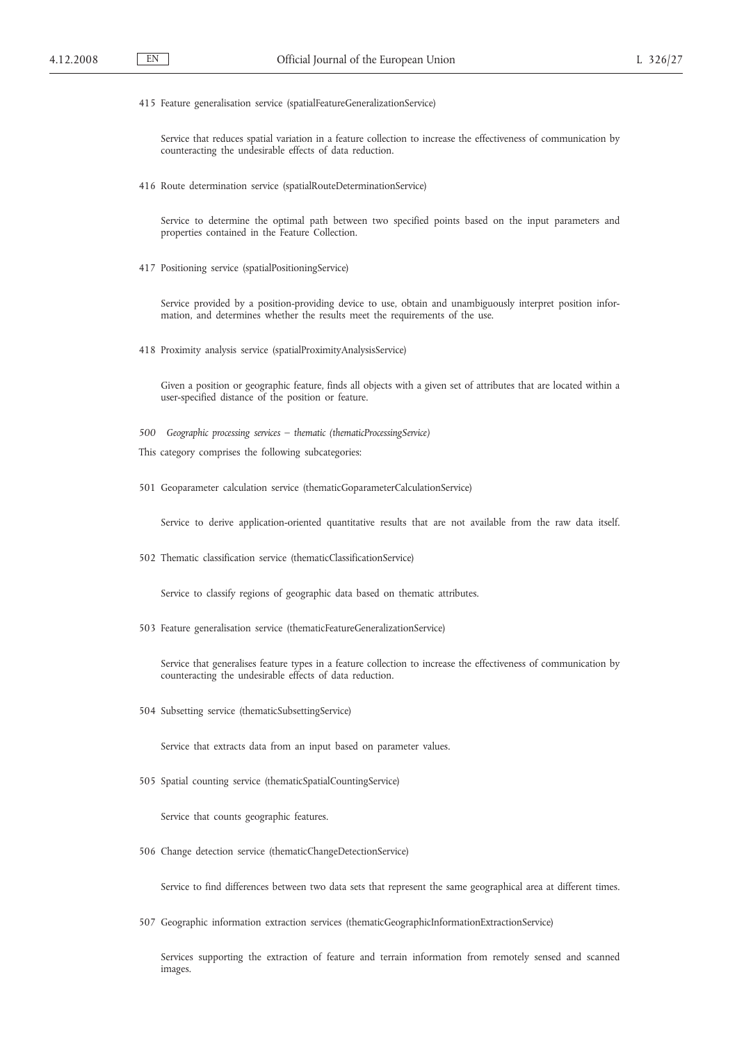415 Feature generalisation service (spatialFeatureGeneralizationService)

Service that reduces spatial variation in a feature collection to increase the effectiveness of communication by counteracting the undesirable effects of data reduction.

416 Route determination service (spatialRouteDeterminationService)

Service to determine the optimal path between two specified points based on the input parameters and properties contained in the Feature Collection.

417 Positioning service (spatialPositioningService)

Service provided by a position-providing device to use, obtain and unambiguously interpret position information, and determines whether the results meet the requirements of the use.

418 Proximity analysis service (spatialProximityAnalysisService)

Given a position or geographic feature, finds all objects with a given set of attributes that are located within a user-specified distance of the position or feature.

- *500 Geographic processing services – thematic (thematicProcessingService)*
- This category comprises the following subcategories:
- 501 Geoparameter calculation service (thematicGoparameterCalculationService)

Service to derive application-oriented quantitative results that are not available from the raw data itself.

502 Thematic classification service (thematicClassificationService)

Service to classify regions of geographic data based on thematic attributes.

503 Feature generalisation service (thematicFeatureGeneralizationService)

Service that generalises feature types in a feature collection to increase the effectiveness of communication by counteracting the undesirable effects of data reduction.

504 Subsetting service (thematicSubsettingService)

Service that extracts data from an input based on parameter values.

505 Spatial counting service (thematicSpatialCountingService)

Service that counts geographic features.

506 Change detection service (thematicChangeDetectionService)

Service to find differences between two data sets that represent the same geographical area at different times.

507 Geographic information extraction services (thematicGeographicInformationExtractionService)

Services supporting the extraction of feature and terrain information from remotely sensed and scanned images.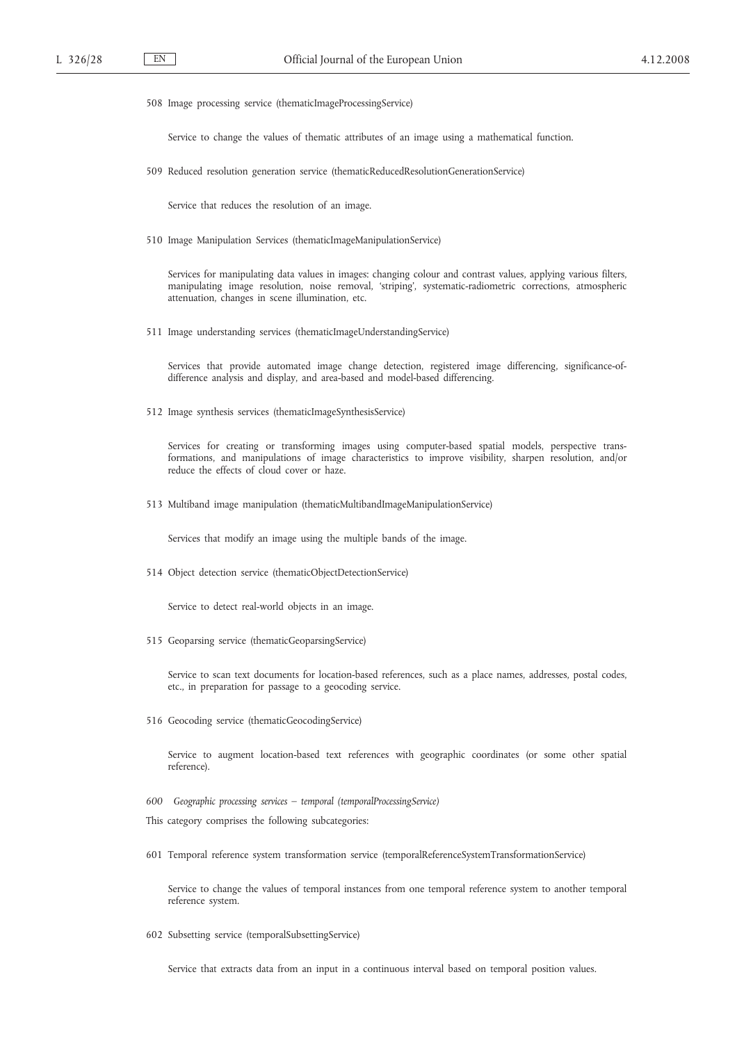508 Image processing service (thematicImageProcessingService)

Service to change the values of thematic attributes of an image using a mathematical function.

509 Reduced resolution generation service (thematicReducedResolutionGenerationService)

Service that reduces the resolution of an image.

510 Image Manipulation Services (thematicImageManipulationService)

Services for manipulating data values in images: changing colour and contrast values, applying various filters, manipulating image resolution, noise removal, 'striping', systematic-radiometric corrections, atmospheric attenuation, changes in scene illumination, etc.

511 Image understanding services (thematicImageUnderstandingService)

Services that provide automated image change detection, registered image differencing, significance-ofdifference analysis and display, and area-based and model-based differencing.

512 Image synthesis services (thematicImageSynthesisService)

Services for creating or transforming images using computer-based spatial models, perspective transformations, and manipulations of image characteristics to improve visibility, sharpen resolution, and/or reduce the effects of cloud cover or haze.

513 Multiband image manipulation (thematicMultibandImageManipulationService)

Services that modify an image using the multiple bands of the image.

514 Object detection service (thematicObjectDetectionService)

Service to detect real-world objects in an image.

515 Geoparsing service (thematicGeoparsingService)

Service to scan text documents for location-based references, such as a place names, addresses, postal codes, etc., in preparation for passage to a geocoding service.

516 Geocoding service (thematicGeocodingService)

Service to augment location-based text references with geographic coordinates (or some other spatial reference).

- *600 Geographic processing services – temporal (temporalProcessingService)*
- This category comprises the following subcategories:
- 601 Temporal reference system transformation service (temporalReferenceSystemTransformationService)

Service to change the values of temporal instances from one temporal reference system to another temporal reference system.

602 Subsetting service (temporalSubsettingService)

Service that extracts data from an input in a continuous interval based on temporal position values.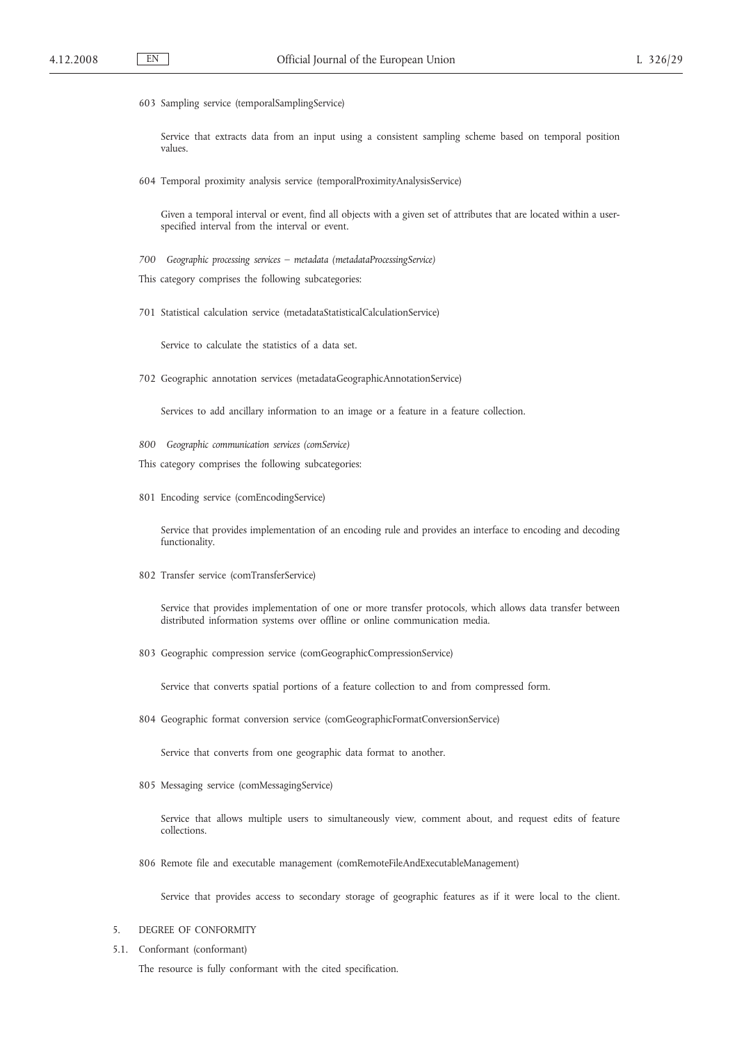603 Sampling service (temporalSamplingService)

Service that extracts data from an input using a consistent sampling scheme based on temporal position values.

604 Temporal proximity analysis service (temporalProximityAnalysisService)

Given a temporal interval or event, find all objects with a given set of attributes that are located within a userspecified interval from the interval or event.

- *700 Geographic processing services – metadata (metadataProcessingService)*
- This category comprises the following subcategories:
- 701 Statistical calculation service (metadataStatisticalCalculationService)

Service to calculate the statistics of a data set.

702 Geographic annotation services (metadataGeographicAnnotationService)

Services to add ancillary information to an image or a feature in a feature collection.

- *800 Geographic communication services (comService)*
- This category comprises the following subcategories:
- 801 Encoding service (comEncodingService)

Service that provides implementation of an encoding rule and provides an interface to encoding and decoding functionality.

802 Transfer service (comTransferService)

Service that provides implementation of one or more transfer protocols, which allows data transfer between distributed information systems over offline or online communication media.

803 Geographic compression service (comGeographicCompressionService)

Service that converts spatial portions of a feature collection to and from compressed form.

804 Geographic format conversion service (comGeographicFormatConversionService)

Service that converts from one geographic data format to another.

805 Messaging service (comMessagingService)

Service that allows multiple users to simultaneously view, comment about, and request edits of feature collections.

806 Remote file and executable management (comRemoteFileAndExecutableManagement)

Service that provides access to secondary storage of geographic features as if it were local to the client.

- 5. DEGREE OF CONFORMITY
- 5.1. Conformant (conformant) The resource is fully conformant with the cited specification.